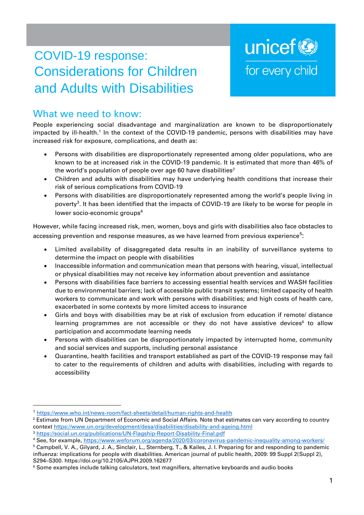# COVID-19 response: Considerations for Children and Adults with Disabilities

# unicef<sup>®</sup> for every child

# What we need to know:

People experiencing social disadvantage and marginalization are known to be disproportionately impacted by ill-health.<sup>1</sup> In the context of the COVID-19 pandemic, persons with disabilities may have increased risk for exposure, complications, and death as:

- Persons with disabilities are disproportionately represented among older populations, who are known to be at increased risk in the COVID-19 pandemic. It is estimated that more than 46% of the world's population of people over age 60 have disabilities $2$
- Children and adults with disabilities may have underlying health conditions that increase their risk of serious complications from COVID-19
- Persons with disabilities are disproportionately represented among the world's people living in poverty<sup>3</sup>. It has been identified that the impacts of COVID-19 are likely to be worse for people in lower socio-economic groups<sup>4</sup>

However, while facing increased risk, men, women, boys and girls with disabilities also face obstacles to accessing prevention and response measures, as we have learned from previous experience<sup>5</sup>:

- Limited availability of disaggregated data results in an inability of surveillance systems to determine the impact on people with disabilities
- Inaccessible information and communication mean that persons with hearing, visual, intellectual or physical disabilities may not receive key information about prevention and assistance
- Persons with disabilities face barriers to accessing essential health services and WASH facilities due to environmental barriers; lack of accessible public transit systems; limited capacity of health workers to communicate and work with persons with disabilities; and high costs of health care, exacerbated in some contexts by more limited access to insurance
- Girls and boys with disabilities may be at risk of exclusion from education if remote/ distance learning programmes are not accessible or they do not have assistive devices $6$  to allow participation and accommodate learning needs
- Persons with disabilities can be disproportionately impacted by interrupted home, community and social services and supports, including personal assistance
- Quarantine, health facilities and transport established as part of the COVID-19 response may fail to cater to the requirements of children and adults with disabilities, including with regards to accessibility

<sup>1</sup> <https://www.who.int/news-room/fact-sheets/detail/human-rights-and-health>

<sup>&</sup>lt;sup>2</sup> Estimate from UN Department of Economic and Social Affairs. Note that estimates can vary according to country context<https://www.un.org/development/desa/disabilities/disability-and-ageing.html>

<sup>3</sup> <https://social.un.org/publications/UN-Flagship-Report-Disability-Final.pdf>

<sup>4</sup> See, for example[, https://www.weforum.org/agenda/2020/03/coronavirus-pandemic-inequality-among-workers/](https://www.weforum.org/agenda/2020/03/coronavirus-pandemic-inequality-among-workers/)

<sup>5</sup> Campbell, V. A., Gilyard, J. A., Sinclair, L., Sternberg, T., & Kailes, J. I. Preparing for and responding to pandemic influenza: implications for people with disabilities. American journal of public health, 2009: 99 Suppl 2(Suppl 2), S294–S300. https://doi.org/10.2105/AJPH.2009.162677

<sup>&</sup>lt;sup>6</sup> Some examples include talking calculators, text magnifiers, alternative keyboards and audio books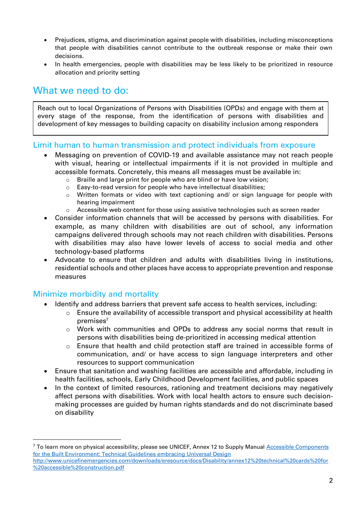- Prejudices, stigma, and discrimination against people with disabilities, including misconceptions that people with disabilities cannot contribute to the outbreak response or make their own decisions.
- In health emergencies, people with disabilities may be less likely to be prioritized in resource allocation and priority setting

## What we need to do:

Reach out to local Organizations of Persons with Disabilities (OPDs) and engage with them at every stage of the response, from the identification of persons with disabilities and development of key messages to building capacity on disability inclusion among responders

#### Limit human to human transmission and protect individuals from exposure

- Messaging on prevention of COVID-19 and available assistance may not reach people with visual, hearing or intellectual impairments if it is not provided in multiple and accessible formats. Concretely, this means all messages must be available in:
	- o Braille and large print for people who are blind or have low vision;
	- o Easy-to-read version for people who have intellectual disabilities;
	- $\circ$  Written formats or video with text captioning and/ or sign language for people with hearing impairment
	- $\circ$  Accessible web content for those using assistive technologies such as screen reader
- Consider information channels that will be accessed by persons with disabilities. For example, as many children with disabilities are out of school, any information campaigns delivered through schools may not reach children with disabilities. Persons with disabilities may also have lower levels of access to social media and other technology-based platforms
- Advocate to ensure that children and adults with disabilities living in institutions, residential schools and other places have access to appropriate prevention and response measures

#### Minimize morbidity and mortality

- Identify and address barriers that prevent safe access to health services, including:
	- $\circ$  Ensure the availability of accessible transport and physical accessibility at health premises<sup>7</sup>
	- $\circ$  Work with communities and OPDs to address any social norms that result in persons with disabilities being de-prioritized in accessing medical attention
	- $\circ$  Ensure that health and child protection staff are trained in accessible forms of communication, and/ or have access to sign language interpreters and other resources to support communication
- Ensure that sanitation and washing facilities are accessible and affordable, including in health facilities, schools, Early Childhood Development facilities, and public spaces
- In the context of limited resources, rationing and treatment decisions may negatively affect persons with disabilities. Work with local health actors to ensure such decisionmaking processes are guided by human rights standards and do not discriminate based on disability

<sup>&</sup>lt;sup>7</sup> To learn more on physical accessibility, please see UNICEF, Annex 12 to Supply Manual Accessible Components [for the Built Environment: Technical Guidelines embracing Universal Design](http://www.unicefinemergencies.com/downloads/eresource/docs/Disability/annex12%20technical%20cards%20for%20accessible%20construction.pdf) [http://www.unicefinemergencies.com/downloads/eresource/docs/Disability/annex12%20technical%20cards%20for](http://www.unicefinemergencies.com/downloads/eresource/docs/Disability/annex12%20technical%20cards%20for%20accessible%20construction.pdf)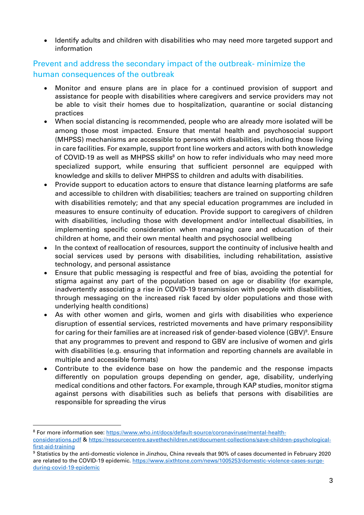• Identify adults and children with disabilities who may need more targeted support and information

### Prevent and address the secondary impact of the outbreak- minimize the human consequences of the outbreak

- Monitor and ensure plans are in place for a continued provision of support and assistance for people with disabilities where caregivers and service providers may not be able to visit their homes due to hospitalization, quarantine or social distancing practices
- When social distancing is recommended, people who are already more isolated will be among those most impacted. Ensure that mental health and psychosocial support (MHPSS) mechanisms are accessible to persons with disabilities, including those living in care facilities. For example, support front line workers and actors with both knowledge of COVID-19 as well as MHPSS skills<sup>8</sup> on how to refer individuals who may need more specialized support, while ensuring that sufficient personnel are equipped with knowledge and skills to deliver MHPSS to children and adults with disabilities.
- Provide support to education actors to ensure that distance learning platforms are safe and accessible to children with disabilities; teachers are trained on supporting children with disabilities remotely; and that any special education programmes are included in measures to ensure continuity of education. Provide support to caregivers of children with disabilities, including those with development and/or intellectual disabilities, in implementing specific consideration when managing care and education of their children at home, and their own mental health and psychosocial wellbeing
- In the context of reallocation of resources, support the continuity of inclusive health and social services used by persons with disabilities, including rehabilitation, assistive technology, and personal assistance
- Ensure that public messaging is respectful and free of bias, avoiding the potential for stigma against any part of the population based on age or disability (for example, inadvertently associating a rise in COVID-19 transmission with people with disabilities, through messaging on the increased risk faced by older populations and those with underlying health conditions)
- As with other women and girls, women and girls with disabilities who experience disruption of essential services, restricted movements and have primary responsibility for caring for their families are at increased risk of gender-based violence (GBV)<sup>9</sup>. Ensure that any programmes to prevent and respond to GBV are inclusive of women and girls with disabilities (e.g. ensuring that information and reporting channels are available in multiple and accessible formats)
- Contribute to the evidence base on how the pandemic and the response impacts differently on population groups depending on gender, age, disability, underlying medical conditions and other factors. For example, through KAP studies, monitor stigma against persons with disabilities such as beliefs that persons with disabilities are responsible for spreading the virus

<sup>8</sup> For more information see[: https://www.who.int/docs/default-source/coronaviruse/mental-health-](https://www.who.int/docs/default-source/coronaviruse/mental-health-considerations.pdf)

[considerations.pdf](https://www.who.int/docs/default-source/coronaviruse/mental-health-considerations.pdf) & [https://resourcecentre.savethechildren.net/document-collections/save-children-psychological](https://resourcecentre.savethechildren.net/document-collections/save-children-psychological-first-aid-training)[first-aid-training](https://resourcecentre.savethechildren.net/document-collections/save-children-psychological-first-aid-training)

<sup>9</sup> Statistics by the anti-domestic violence in Jinzhou, China reveals that 90% of cases documented in February 2020 are related to the COVID-19 epidemic[. https://www.sixthtone.com/news/1005253/domestic-violence-cases-surge](https://www.sixthtone.com/news/1005253/domestic-violence-cases-surge-during-covid-19-epidemic)[during-covid-19-epidemic](https://www.sixthtone.com/news/1005253/domestic-violence-cases-surge-during-covid-19-epidemic)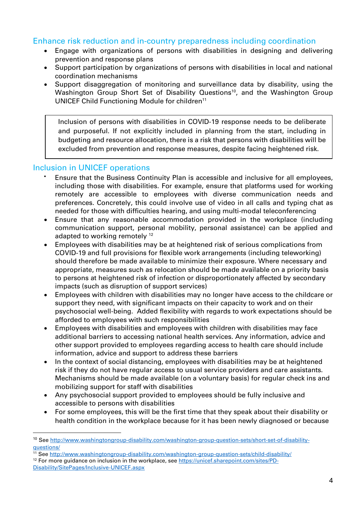#### Enhance risk reduction and in-country preparedness including coordination

- Engage with organizations of persons with disabilities in designing and delivering prevention and response plans
- Support participation by organizations of persons with disabilities in local and national coordination mechanisms
- Support disaggregation of monitoring and surveillance data by disability, using the Washington Group Short Set of Disability Questions<sup>10</sup>, and the Washington Group UNICEF Child Functioning Module for children<sup>11</sup>

Inclusion of persons with disabilities in COVID-19 response needs to be deliberate and purposeful. If not explicitly included in planning from the start, including in budgeting and resource allocation, there is a risk that persons with disabilities will be excluded from prevention and response measures, despite facing heightened risk.

#### Inclusion in UNICEF operations

- Ensure that the Business Continuity Plan is accessible and inclusive for all employees, including those with disabilities. For example, ensure that platforms used for working remotely are accessible to employees with diverse communication needs and preferences. Concretely, this could involve use of video in all calls and typing chat as needed for those with difficulties hearing, and using multi-modal teleconferencing
- Ensure that any reasonable accommodation provided in the workplace (including communication support, personal mobility, personal assistance) can be applied and adapted to working remotely<sup>12</sup>
- Employees with disabilities may be at heightened risk of serious complications from COVID-19 and full provisions for flexible work arrangements (including teleworking) should therefore be made available to minimize their exposure. Where necessary and appropriate, measures such as relocation should be made available on a priority basis to persons at heightened risk of infection or disproportionately affected by secondary impacts (such as disruption of support services)
- Employees with children with disabilities may no longer have access to the childcare or support they need, with significant impacts on their capacity to work and on their psychosocial well-being. Added flexibility with regards to work expectations should be afforded to employees with such responsibilities
- Employees with disabilities and employees with children with disabilities may face additional barriers to accessing national health services. Any information, advice and other support provided to employees regarding access to health care should include information, advice and support to address these barriers
- In the context of social distancing, employees with disabilities may be at heightened risk if they do not have regular access to usual service providers and care assistants. Mechanisms should be made available (on a voluntary basis) for regular check ins and mobilizing support for staff with disabilities
- Any psychosocial support provided to employees should be fully inclusive and accessible to persons with disabilities
- For some employees, this will be the first time that they speak about their disability or health condition in the workplace because for it has been newly diagnosed or because

<sup>12</sup> For more guidance on inclusion in the workplace, see [https://unicef.sharepoint.com/sites/PD-](https://unicef.sharepoint.com/sites/PD-Disability/SitePages/Inclusive-UNICEF.aspx)[Disability/SitePages/Inclusive-UNICEF.aspx](https://unicef.sharepoint.com/sites/PD-Disability/SitePages/Inclusive-UNICEF.aspx)

<sup>&</sup>lt;sup>10</sup> See [http://www.washingtongroup-disability.com/washington-group-question-sets/short-set-of-disability](http://www.washingtongroup-disability.com/washington-group-question-sets/short-set-of-disability-questions/)[questions/](http://www.washingtongroup-disability.com/washington-group-question-sets/short-set-of-disability-questions/)

<sup>11</sup> See<http://www.washingtongroup-disability.com/washington-group-question-sets/child-disability/>